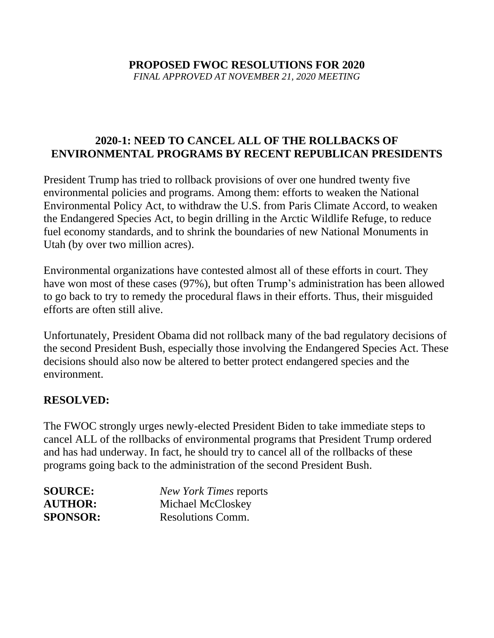# **PROPOSED FWOC RESOLUTIONS FOR 2020**

*FINAL APPROVED AT NOVEMBER 21, 2020 MEETING*

# **2020-1: NEED TO CANCEL ALL OF THE ROLLBACKS OF ENVIRONMENTAL PROGRAMS BY RECENT REPUBLICAN PRESIDENTS**

President Trump has tried to rollback provisions of over one hundred twenty five environmental policies and programs. Among them: efforts to weaken the National Environmental Policy Act, to withdraw the U.S. from Paris Climate Accord, to weaken the Endangered Species Act, to begin drilling in the Arctic Wildlife Refuge, to reduce fuel economy standards, and to shrink the boundaries of new National Monuments in Utah (by over two million acres).

Environmental organizations have contested almost all of these efforts in court. They have won most of these cases (97%), but often Trump's administration has been allowed to go back to try to remedy the procedural flaws in their efforts. Thus, their misguided efforts are often still alive.

Unfortunately, President Obama did not rollback many of the bad regulatory decisions of the second President Bush, especially those involving the Endangered Species Act. These decisions should also now be altered to better protect endangered species and the environment.

# **RESOLVED:**

The FWOC strongly urges newly-elected President Biden to take immediate steps to cancel ALL of the rollbacks of environmental programs that President Trump ordered and has had underway. In fact, he should try to cancel all of the rollbacks of these programs going back to the administration of the second President Bush.

| <b>SOURCE:</b>  | <b>New York Times reports</b> |
|-----------------|-------------------------------|
| <b>AUTHOR:</b>  | Michael McCloskey             |
| <b>SPONSOR:</b> | Resolutions Comm.             |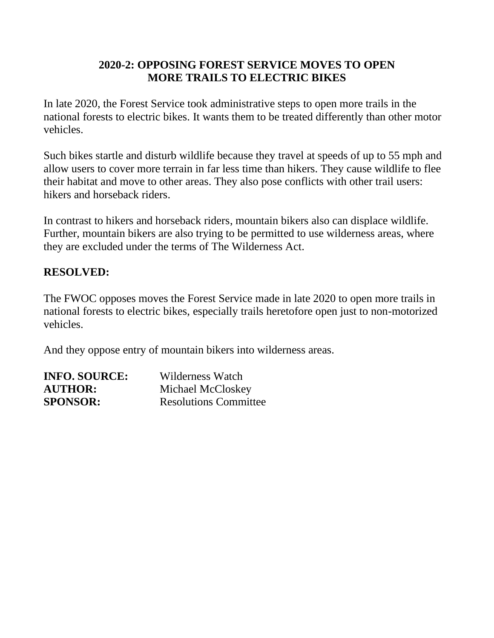# **2020-2: OPPOSING FOREST SERVICE MOVES TO OPEN MORE TRAILS TO ELECTRIC BIKES**

In late 2020, the Forest Service took administrative steps to open more trails in the national forests to electric bikes. It wants them to be treated differently than other motor vehicles.

Such bikes startle and disturb wildlife because they travel at speeds of up to 55 mph and allow users to cover more terrain in far less time than hikers. They cause wildlife to flee their habitat and move to other areas. They also pose conflicts with other trail users: hikers and horseback riders.

In contrast to hikers and horseback riders, mountain bikers also can displace wildlife. Further, mountain bikers are also trying to be permitted to use wilderness areas, where they are excluded under the terms of The Wilderness Act.

#### **RESOLVED:**

The FWOC opposes moves the Forest Service made in late 2020 to open more trails in national forests to electric bikes, especially trails heretofore open just to non-motorized vehicles.

And they oppose entry of mountain bikers into wilderness areas.

| <b>INFO. SOURCE:</b> | Wilderness Watch             |
|----------------------|------------------------------|
| <b>AUTHOR:</b>       | Michael McCloskey            |
| <b>SPONSOR:</b>      | <b>Resolutions Committee</b> |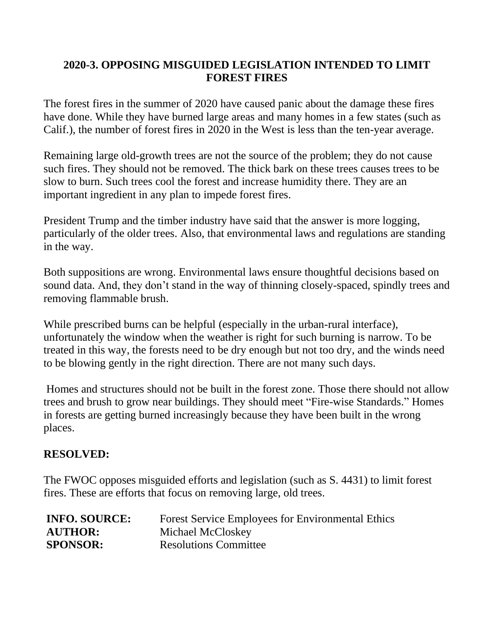# **2020-3. OPPOSING MISGUIDED LEGISLATION INTENDED TO LIMIT FOREST FIRES**

The forest fires in the summer of 2020 have caused panic about the damage these fires have done. While they have burned large areas and many homes in a few states (such as Calif.), the number of forest fires in 2020 in the West is less than the ten-year average.

Remaining large old-growth trees are not the source of the problem; they do not cause such fires. They should not be removed. The thick bark on these trees causes trees to be slow to burn. Such trees cool the forest and increase humidity there. They are an important ingredient in any plan to impede forest fires.

President Trump and the timber industry have said that the answer is more logging, particularly of the older trees. Also, that environmental laws and regulations are standing in the way.

Both suppositions are wrong. Environmental laws ensure thoughtful decisions based on sound data. And, they don't stand in the way of thinning closely-spaced, spindly trees and removing flammable brush.

While prescribed burns can be helpful (especially in the urban-rural interface), unfortunately the window when the weather is right for such burning is narrow. To be treated in this way, the forests need to be dry enough but not too dry, and the winds need to be blowing gently in the right direction. There are not many such days.

Homes and structures should not be built in the forest zone. Those there should not allow trees and brush to grow near buildings. They should meet "Fire-wise Standards." Homes in forests are getting burned increasingly because they have been built in the wrong places.

# **RESOLVED:**

The FWOC opposes misguided efforts and legislation (such as S. 4431) to limit forest fires. These are efforts that focus on removing large, old trees.

| <b>INFO. SOURCE:</b> | <b>Forest Service Employees for Environmental Ethics</b> |
|----------------------|----------------------------------------------------------|
| <b>AUTHOR:</b>       | Michael McCloskey                                        |
| <b>SPONSOR:</b>      | <b>Resolutions Committee</b>                             |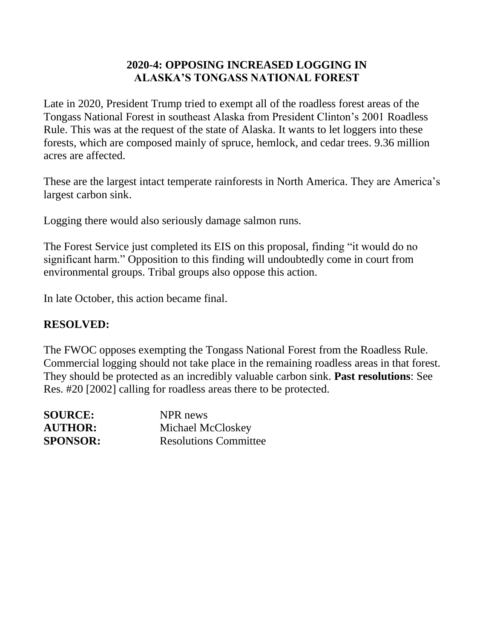# **2020-4: OPPOSING INCREASED LOGGING IN ALASKA'S TONGASS NATIONAL FOREST**

Late in 2020, President Trump tried to exempt all of the roadless forest areas of the Tongass National Forest in southeast Alaska from President Clinton's 2001 Roadless Rule. This was at the request of the state of Alaska. It wants to let loggers into these forests, which are composed mainly of spruce, hemlock, and cedar trees. 9.36 million acres are affected.

These are the largest intact temperate rainforests in North America. They are America's largest carbon sink.

Logging there would also seriously damage salmon runs.

The Forest Service just completed its EIS on this proposal, finding "it would do no significant harm." Opposition to this finding will undoubtedly come in court from environmental groups. Tribal groups also oppose this action.

In late October, this action became final.

#### **RESOLVED:**

The FWOC opposes exempting the Tongass National Forest from the Roadless Rule. Commercial logging should not take place in the remaining roadless areas in that forest. They should be protected as an incredibly valuable carbon sink. **Past resolutions**: See Res. #20 [2002] calling for roadless areas there to be protected.

| <b>SOURCE:</b>  | NPR news                     |
|-----------------|------------------------------|
| <b>AUTHOR:</b>  | Michael McCloskey            |
| <b>SPONSOR:</b> | <b>Resolutions Committee</b> |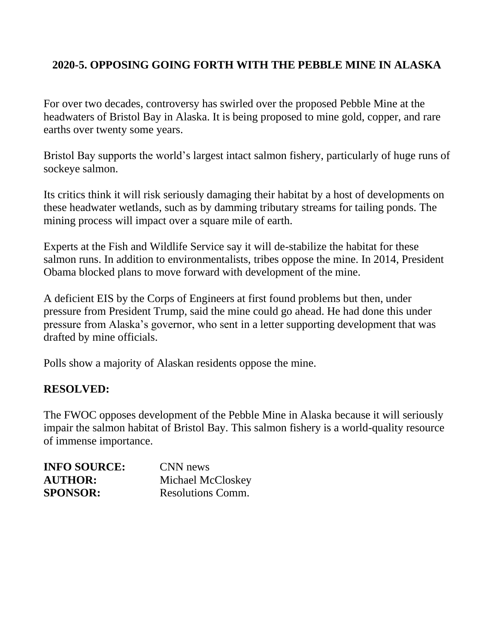# **2020-5. OPPOSING GOING FORTH WITH THE PEBBLE MINE IN ALASKA**

For over two decades, controversy has swirled over the proposed Pebble Mine at the headwaters of Bristol Bay in Alaska. It is being proposed to mine gold, copper, and rare earths over twenty some years.

Bristol Bay supports the world's largest intact salmon fishery, particularly of huge runs of sockeye salmon.

Its critics think it will risk seriously damaging their habitat by a host of developments on these headwater wetlands, such as by damming tributary streams for tailing ponds. The mining process will impact over a square mile of earth.

Experts at the Fish and Wildlife Service say it will de-stabilize the habitat for these salmon runs. In addition to environmentalists, tribes oppose the mine. In 2014, President Obama blocked plans to move forward with development of the mine.

A deficient EIS by the Corps of Engineers at first found problems but then, under pressure from President Trump, said the mine could go ahead. He had done this under pressure from Alaska's governor, who sent in a letter supporting development that was drafted by mine officials.

Polls show a majority of Alaskan residents oppose the mine.

#### **RESOLVED:**

The FWOC opposes development of the Pebble Mine in Alaska because it will seriously impair the salmon habitat of Bristol Bay. This salmon fishery is a world-quality resource of immense importance.

| <b>INFO SOURCE:</b> | CNN news          |
|---------------------|-------------------|
| <b>AUTHOR:</b>      | Michael McCloskey |
| <b>SPONSOR:</b>     | Resolutions Comm. |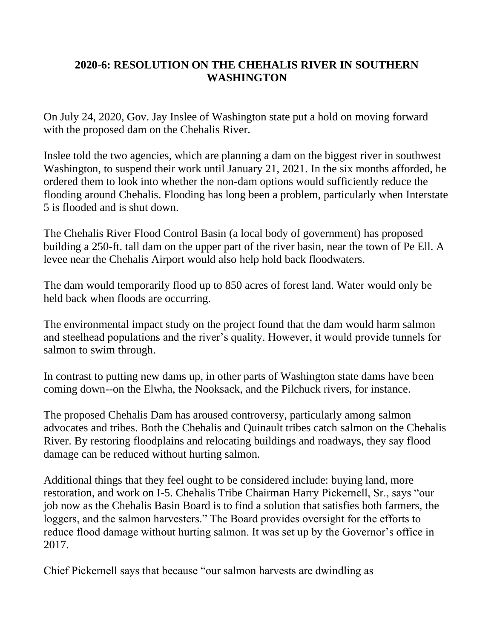# **2020-6: RESOLUTION ON THE CHEHALIS RIVER IN SOUTHERN WASHINGTON**

On July 24, 2020, Gov. Jay Inslee of Washington state put a hold on moving forward with the proposed dam on the Chehalis River.

Inslee told the two agencies, which are planning a dam on the biggest river in southwest Washington, to suspend their work until January 21, 2021. In the six months afforded, he ordered them to look into whether the non-dam options would sufficiently reduce the flooding around Chehalis. Flooding has long been a problem, particularly when Interstate 5 is flooded and is shut down.

The Chehalis River Flood Control Basin (a local body of government) has proposed building a 250-ft. tall dam on the upper part of the river basin, near the town of Pe Ell. A levee near the Chehalis Airport would also help hold back floodwaters.

The dam would temporarily flood up to 850 acres of forest land. Water would only be held back when floods are occurring.

The environmental impact study on the project found that the dam would harm salmon and steelhead populations and the river's quality. However, it would provide tunnels for salmon to swim through.

In contrast to putting new dams up, in other parts of Washington state dams have been coming down--on the Elwha, the Nooksack, and the Pilchuck rivers, for instance.

The proposed Chehalis Dam has aroused controversy, particularly among salmon advocates and tribes. Both the Chehalis and Quinault tribes catch salmon on the Chehalis River. By restoring floodplains and relocating buildings and roadways, they say flood damage can be reduced without hurting salmon.

Additional things that they feel ought to be considered include: buying land, more restoration, and work on I-5. Chehalis Tribe Chairman Harry Pickernell, Sr., says "our job now as the Chehalis Basin Board is to find a solution that satisfies both farmers, the loggers, and the salmon harvesters." The Board provides oversight for the efforts to reduce flood damage without hurting salmon. It was set up by the Governor's office in 2017.

Chief Pickernell says that because "our salmon harvests are dwindling as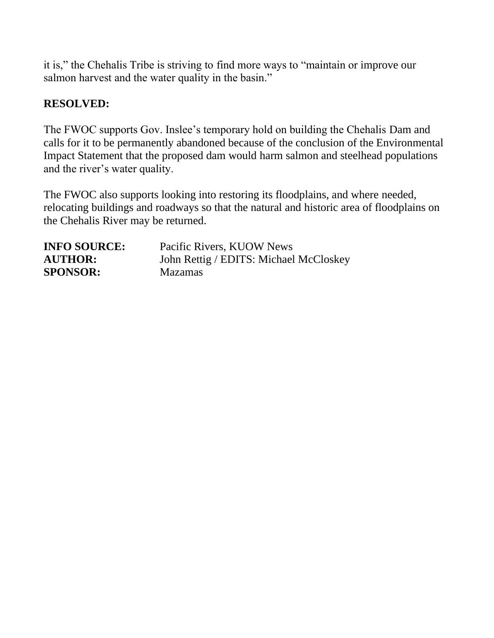it is," the Chehalis Tribe is striving to find more ways to "maintain or improve our salmon harvest and the water quality in the basin."

# **RESOLVED:**

The FWOC supports Gov. Inslee's temporary hold on building the Chehalis Dam and calls for it to be permanently abandoned because of the conclusion of the Environmental Impact Statement that the proposed dam would harm salmon and steelhead populations and the river's water quality.

The FWOC also supports looking into restoring its floodplains, and where needed, relocating buildings and roadways so that the natural and historic area of floodplains on the Chehalis River may be returned.

| <b>INFO SOURCE:</b> | Pacific Rivers, KUOW News              |
|---------------------|----------------------------------------|
| <b>AUTHOR:</b>      | John Rettig / EDITS: Michael McCloskey |
| <b>SPONSOR:</b>     | <b>Mazamas</b>                         |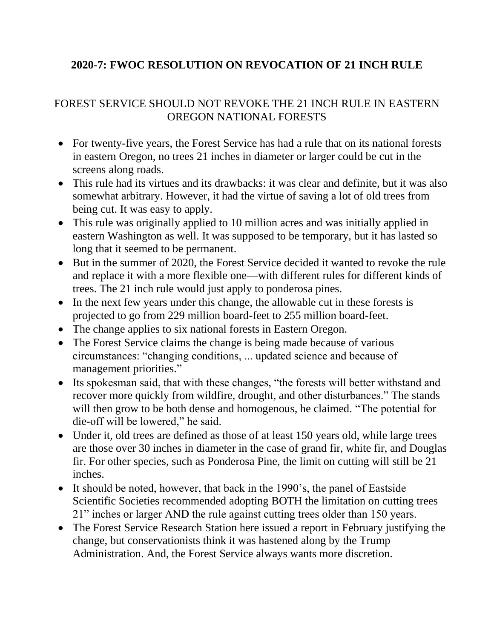# **2020-7: FWOC RESOLUTION ON REVOCATION OF 21 INCH RULE**

# FOREST SERVICE SHOULD NOT REVOKE THE 21 INCH RULE IN EASTERN OREGON NATIONAL FORESTS

- For twenty-five years, the Forest Service has had a rule that on its national forests in eastern Oregon, no trees 21 inches in diameter or larger could be cut in the screens along roads.
- This rule had its virtues and its drawbacks: it was clear and definite, but it was also somewhat arbitrary. However, it had the virtue of saving a lot of old trees from being cut. It was easy to apply.
- This rule was originally applied to 10 million acres and was initially applied in eastern Washington as well. It was supposed to be temporary, but it has lasted so long that it seemed to be permanent.
- But in the summer of 2020, the Forest Service decided it wanted to revoke the rule and replace it with a more flexible one—with different rules for different kinds of trees. The 21 inch rule would just apply to ponderosa pines.
- In the next few years under this change, the allowable cut in these forests is projected to go from 229 million board-feet to 255 million board-feet.
- The change applies to six national forests in Eastern Oregon.
- The Forest Service claims the change is being made because of various circumstances: "changing conditions, ... updated science and because of management priorities."
- Its spokesman said, that with these changes, "the forests will better withstand and recover more quickly from wildfire, drought, and other disturbances." The stands will then grow to be both dense and homogenous, he claimed. "The potential for die-off will be lowered," he said.
- Under it, old trees are defined as those of at least 150 years old, while large trees are those over 30 inches in diameter in the case of grand fir, white fir, and Douglas fir. For other species, such as Ponderosa Pine, the limit on cutting will still be 21 inches.
- It should be noted, however, that back in the 1990's, the panel of Eastside Scientific Societies recommended adopting BOTH the limitation on cutting trees 21" inches or larger AND the rule against cutting trees older than 150 years.
- The Forest Service Research Station here issued a report in February justifying the change, but conservationists think it was hastened along by the Trump Administration. And, the Forest Service always wants more discretion.